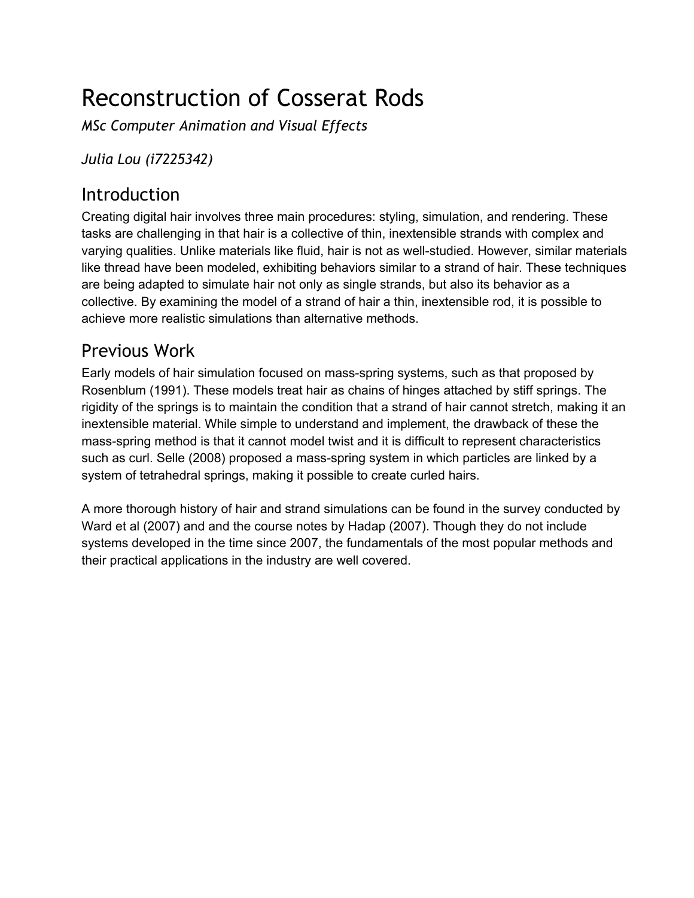# Reconstruction of Cosserat Rods

*MSc Computer Animation and Visual Effects*

*Julia Lou (i7225342)*

### **Introduction**

Creating digital hair involves three main procedures: styling, simulation, and rendering. These tasks are challenging in that hair is a collective of thin, inextensible strands with complex and varying qualities. Unlike materials like fluid, hair is not as well-studied. However, similar materials like thread have been modeled, exhibiting behaviors similar to a strand of hair. These techniques are being adapted to simulate hair not only as single strands, but also its behavior as a collective. By examining the model of a strand of hair a thin, inextensible rod, it is possible to achieve more realistic simulations than alternative methods.

## Previous Work

Early models of hair simulation focused on mass-spring systems, such as that proposed by Rosenblum (1991). These models treat hair as chains of hinges attached by stiff springs. The rigidity of the springs is to maintain the condition that a strand of hair cannot stretch, making it an inextensible material. While simple to understand and implement, the drawback of these the massspring method is that it cannot model twist and it is difficult to represent characteristics such as curl. Selle (2008) proposed a mass-spring system in which particles are linked by a system of tetrahedral springs, making it possible to create curled hairs.

A more thorough history of hair and strand simulations can be found in the survey conducted by Ward et al (2007) and and the course notes by Hadap (2007). Though they do not include systems developed in the time since 2007, the fundamentals of the most popular methods and their practical applications in the industry are well covered.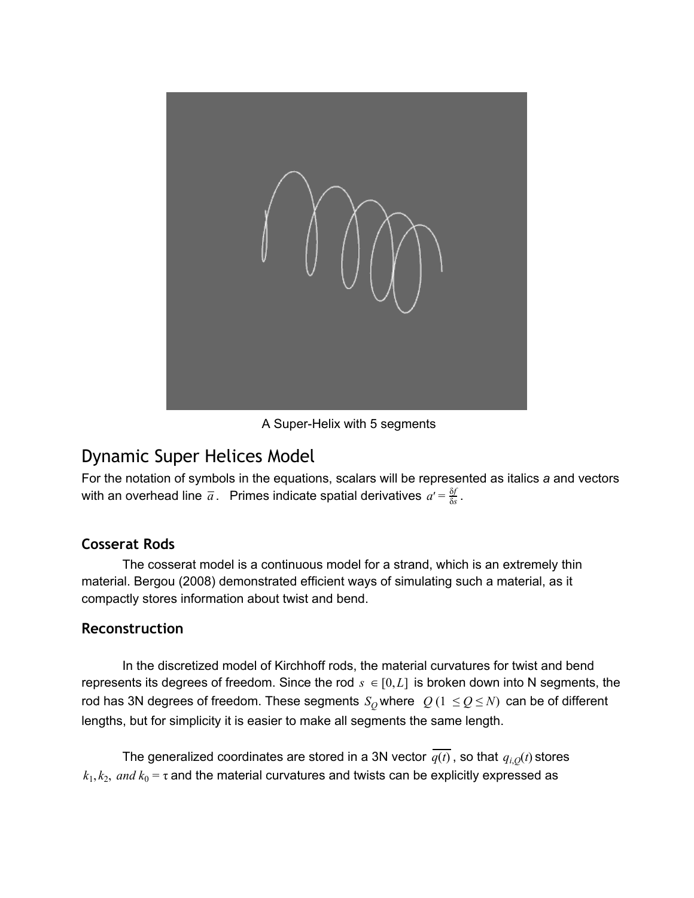

A Super-Helix with 5 segments

### Dynamic Super Helices Model

For the notation of symbols in the equations, scalars will be represented as italics *a* and vectors with an overhead line  $\overline{a}$ . Primes indicate spatial derivatives  $a' = \frac{9I}{\delta s}$ . δ*f*

#### **Cosserat Rods**

The cosserat model is a continuous model for a strand, which is an extremely thin material. Bergou (2008) demonstrated efficient ways of simulating such a material, as it compactly stores information about twist and bend.

#### **Reconstruction**

In the discretized model of Kirchhoff rods, the material curvatures for twist and bend represents its degrees of freedom. Since the rod  $s \in [0, L]$  is broken down into N segments, the rod has 3N degrees of freedom. These segments  $S_Q$  where  $Q(1 \leq Q \leq N)$  can be of different lengths, but for simplicity it is easier to make all segments the same length.

The generalized coordinates are stored in a 3N vector  $\overline{q(t)}$ , so that  $q_{i,0}(t)$  stores  $k_1, k_2, \ and \ k_0$  = τ and the material curvatures and twists can be explicitly expressed as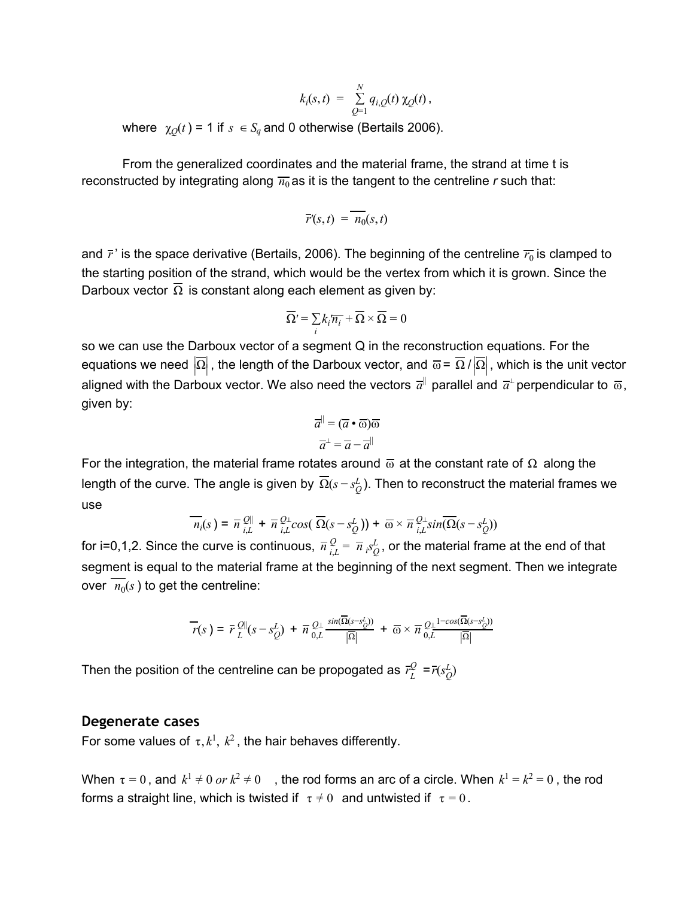$$
k_i(s,t) = \sum_{Q=1}^N q_{i,Q}(t) \, \chi_Q(t) \,,
$$

where  $\chi_O(t) = 1$  if  $s \in S_q$  and 0 otherwise (Bertails 2006).

From the generalized coordinates and the material frame, the strand at time t is reconstructed by integrating along  $\overline{n_0}$  as it is the tangent to the centreline *r* such that:

$$
\overline{r}(s,t) = \overline{n_0}(s,t)
$$

and  $\bar{r}'$  is the space derivative (Bertails, 2006). The beginning of the centreline  $\overline{r_0}$  is clamped to the starting position of the strand, which would be the vertex from which it is grown. Since the Darboux vector  $\overline{\Omega}$  is constant along each element as given by:

$$
\overline{\Omega'} = \sum_i k_i \overline{n_i} + \overline{\Omega} \times \overline{\Omega} = 0
$$

so we can use the Darboux vector of a segment Q in the reconstruction equations. For the equations we need  $\big|\overline{\Omega}\big|$  , the length of the Darboux vector, and  $\overline{\omega}$  =  $\overline{\Omega}$  /  $\big|\overline{\Omega}\big|$  , which is the unit vector aligned with the Darboux vector. We also need the vectors  $\overline{a}^{\parallel}$  parallel and  $\overline{a}^{\perp}$ perpendicular to  $\overline{\omega}$ , given by:

$$
\overline{a}^{\parallel} = (\overline{a} \cdot \overline{\omega})\overline{\omega}
$$

$$
\overline{a}^{\perp} = \overline{a} - \overline{a}^{\parallel}
$$

For the integration, the material frame rotates around  $\overline{\omega}$  at the constant rate of  $\Omega$  along the length of the curve. The angle is given by  $\,\overline{\Omega}(s - s^L_{\overline{Q}}).$  Then to reconstruct the material frames we use

$$
\overline{n_i}(s) = \overline{n} \, \frac{2 \mathbb{I}}{i, L} + \overline{n} \, \frac{Q_{\perp}}{i, L} cos(\, \overline{\Omega}(s - s_Q^L)) + \overline{\omega} \times \overline{n} \, \frac{Q_{\perp}}{i, L} sin(\overline{\Omega}(s - s_Q^L))
$$

for i=0,1,2. Since the curve is continuous,  $\overline{n} \frac{Q}{i} = \overline{n} \frac{S}{i}$ , or the material frame at the end of that  $\frac{Q}{i,L} = \overline{n} \, S_Q^L$ segment is equal to the material frame at the beginning of the next segment. Then we integrate over  $n_0(s)$  to get the centreline:

$$
\overline{r}(s\,)=\,\overline{r}\frac{\mathcal{Q}\Vert}{L}(s-s_Q^L)\,+\,\overline{n}\frac{\mathcal{Q}_\perp}{0,L}\frac{sin(\overline{\Omega}(s-s_Q^L))}{|\overline{\Omega}|}\,+\,\overline{\omega}\times\overline{n}\frac{\mathcal{Q}_\perp{}^{1-cos(\overline{\Omega}(s-s_Q^L))}}{0,L}
$$

Then the position of the centreline can be propogated as  $\overline{r}_{L}^{Q}$  = $\overline{r}(s_{Q}^{L})$ 

#### **Degenerate cases**

For some values of  $\tau$ ,  $k^1$ ,  $k^2$ , the hair behaves differently.

When  $\tau = 0$ , and  $k^1 \neq 0$  or  $k^2 \neq 0$  , the rod forms an arc of a circle. When  $k^1 = k^2 = 0$ , the rod forms a straight line, which is twisted if  $\tau \neq 0$  and untwisted if  $\tau = 0$ .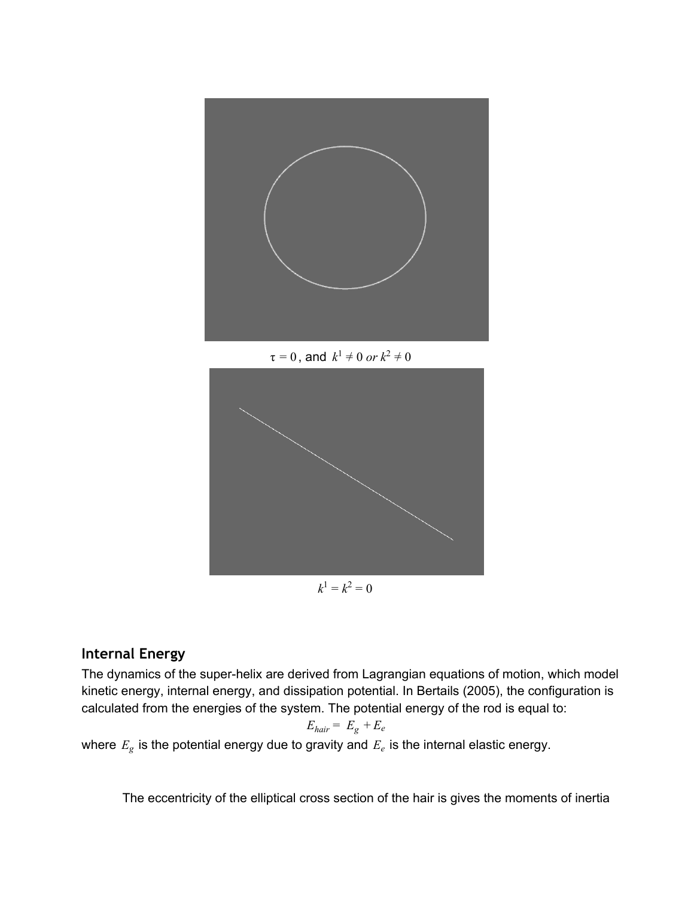

 $\tau = 0$ , and  $k^1 \neq 0$  or  $k^2 \neq 0$ 



#### **Internal Energy**

The dynamics of the super-helix are derived from Lagrangian equations of motion, which model kinetic energy, internal energy, and dissipation potential. In Bertails (2005), the configuration is calculated from the energies of the system. The potential energy of the rod is equal to:

$$
E_{hair} = E_g + E_e
$$

where  $E_g$  is the potential energy due to gravity and  $E_e$  is the internal elastic energy.

The eccentricity of the elliptical cross section of the hair is gives the moments of inertia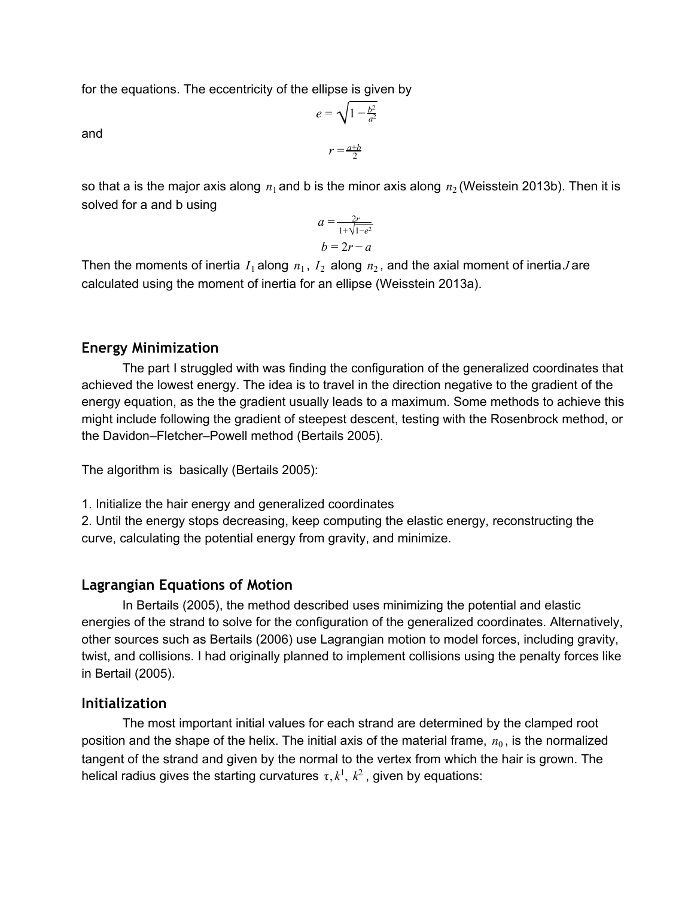for the equations. The eccentricity of the ellipse is given by

and

$$
e = \sqrt{1 - \frac{b^2}{a^2}}
$$

$$
r = \frac{a+b}{2}
$$

so that a is the major axis along  $\,n_{1}$  and b is the minor axis along  $\,n_{2}$  (Weisstein 2013b). Then it is solved for a and b using

$$
a = \frac{2r}{1 + \sqrt{1 - e^2}}
$$

$$
b = 2r - a
$$

Then the moments of inertia  $I_1$  along  $n_1$ ,  $I_2$  along  $n_2$ , and the axial moment of inertia *J* are calculated using the moment of inertia for an ellipse (Weisstein 2013a).

#### **Energy Minimization**

The part I struggled with was finding the configuration of the generalized coordinates that achieved the lowest energy. The idea is to travel in the direction negative to the gradient of the energy equation, as the the gradient usually leads to a maximum. Some methods to achieve this might include following the gradient of steepest descent, testing with the Rosenbrock method, or the Davidon–Fletcher–Powell method (Bertails 2005).

The algorithm is basically (Bertails 2005):

1. Initialize the hair energy and generalized coordinates

2. Until the energy stops decreasing, keep computing the elastic energy, reconstructing the curve, calculating the potential energy from gravity, and minimize.

#### **Lagrangian Equations of Motion**

In Bertails (2005), the method described uses minimizing the potential and elastic energies of the strand to solve for the configuration of the generalized coordinates. Alternatively, other sources such as Bertails (2006) use Lagrangian motion to model forces, including gravity, twist, and collisions. I had originally planned to implement collisions using the penalty forces like in Bertail (2005).

#### **Initialization**

The most important initial values for each strand are determined by the clamped root position and the shape of the helix. The initial axis of the material frame,  $n_0$ , is the normalized tangent of the strand and given by the normal to the vertex from which the hair is grown. The helical radius gives the starting curvatures  $\tau$ ,  $k^1$ ,  $k^2$ , given by equations: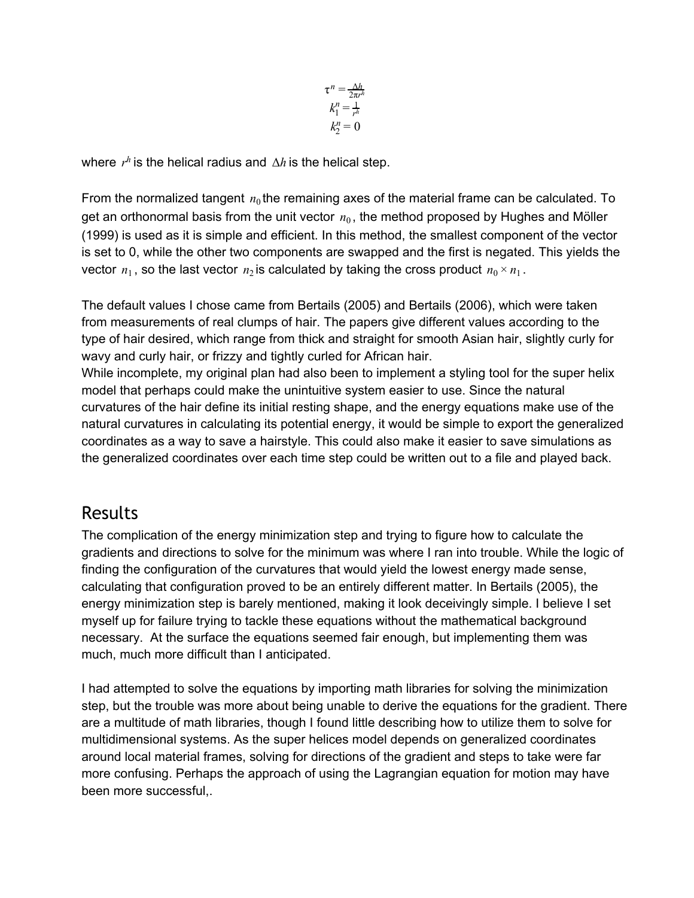$$
\tau^n = \frac{\Delta h}{2\pi r^h}
$$

$$
k_1^n = \frac{1}{r^h}
$$

$$
k_2^n = 0
$$

where  $r^h$  is the helical radius and  $\Delta h$  is the helical step.

From the normalized tangent  $n_0$  the remaining axes of the material frame can be calculated. To get an orthonormal basis from the unit vector  $n_0$ , the method proposed by Hughes and Möller (1999) is used as it is simple and efficient. In this method, the smallest component of the vector is set to 0, while the other two components are swapped and the first is negated. This yields the vector  $n_1$ , so the last vector  $n_2$  is calculated by taking the cross product  $n_0 \times n_1$ .

The default values I chose came from Bertails (2005) and Bertails (2006), which were taken from measurements of real clumps of hair. The papers give different values according to the type of hair desired, which range from thick and straight for smooth Asian hair, slightly curly for wavy and curly hair, or frizzy and tightly curled for African hair.

While incomplete, my original plan had also been to implement a styling tool for the super helix model that perhaps could make the unintuitive system easier to use. Since the natural curvatures of the hair define its initial resting shape, and the energy equations make use of the natural curvatures in calculating its potential energy, it would be simple to export the generalized coordinates as a way to save a hairstyle. This could also make it easier to save simulations as the generalized coordinates over each time step could be written out to a file and played back.

### Results

The complication of the energy minimization step and trying to figure how to calculate the gradients and directions to solve for the minimum was where I ran into trouble. While the logic of finding the configuration of the curvatures that would yield the lowest energy made sense, calculating that configuration proved to be an entirely different matter. In Bertails (2005), the energy minimization step is barely mentioned, making it look deceivingly simple. I believe I set myself up for failure trying to tackle these equations without the mathematical background necessary. At the surface the equations seemed fair enough, but implementing them was much, much more difficult than I anticipated.

I had attempted to solve the equations by importing math libraries for solving the minimization step, but the trouble was more about being unable to derive the equations for the gradient. There are a multitude of math libraries, though I found little describing how to utilize them to solve for multidimensional systems. As the super helices model depends on generalized coordinates around local material frames, solving for directions of the gradient and steps to take were far more confusing. Perhaps the approach of using the Lagrangian equation for motion may have been more successful,.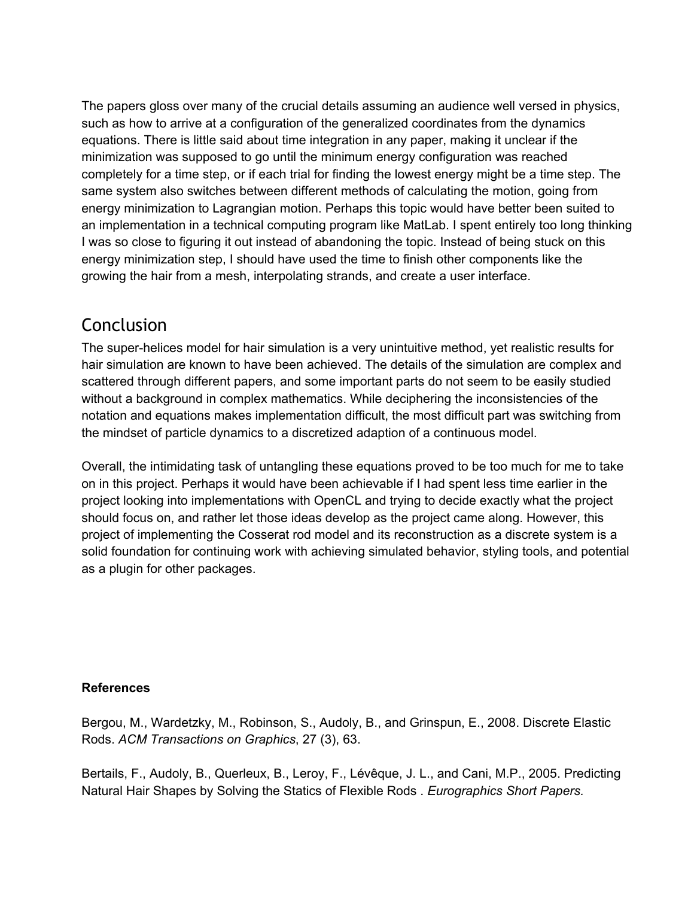The papers gloss over many of the crucial details assuming an audience well versed in physics, such as how to arrive at a configuration of the generalized coordinates from the dynamics equations. There is little said about time integration in any paper, making it unclear if the minimization was supposed to go until the minimum energy configuration was reached completely for a time step, or if each trial for finding the lowest energy might be a time step. The same system also switches between different methods of calculating the motion, going from energy minimization to Lagrangian motion. Perhaps this topic would have better been suited to an implementation in a technical computing program like MatLab. I spent entirely too long thinking I was so close to figuring it out instead of abandoning the topic. Instead of being stuck on this energy minimization step, I should have used the time to finish other components like the growing the hair from a mesh, interpolating strands, and create a user interface.

### Conclusion

The super-helices model for hair simulation is a very unintuitive method, yet realistic results for hair simulation are known to have been achieved. The details of the simulation are complex and scattered through different papers, and some important parts do not seem to be easily studied without a background in complex mathematics. While deciphering the inconsistencies of the notation and equations makes implementation difficult, the most difficult part was switching from the mindset of particle dynamics to a discretized adaption of a continuous model.

Overall, the intimidating task of untangling these equations proved to be too much for me to take on in this project. Perhaps it would have been achievable if I had spent less time earlier in the project looking into implementations with OpenCL and trying to decide exactly what the project should focus on, and rather let those ideas develop as the project came along. However, this project of implementing the Cosserat rod model and its reconstruction as a discrete system is a solid foundation for continuing work with achieving simulated behavior, styling tools, and potential as a plugin for other packages.

#### **References**

Bergou, M., Wardetzky, M., Robinson, S., Audoly, B., and Grinspun, E., 2008. Discrete Elastic Rods. *ACM Transactions on Graphics*, 27 (3), 63.

Bertails, F., Audoly, B., Querleux, B., Leroy, F., Lévêque, J. L., and Cani, M.P., 2005. Predicting Natural Hair Shapes by Solving the Statics of Flexible Rods . *Eurographics Short Papers.*